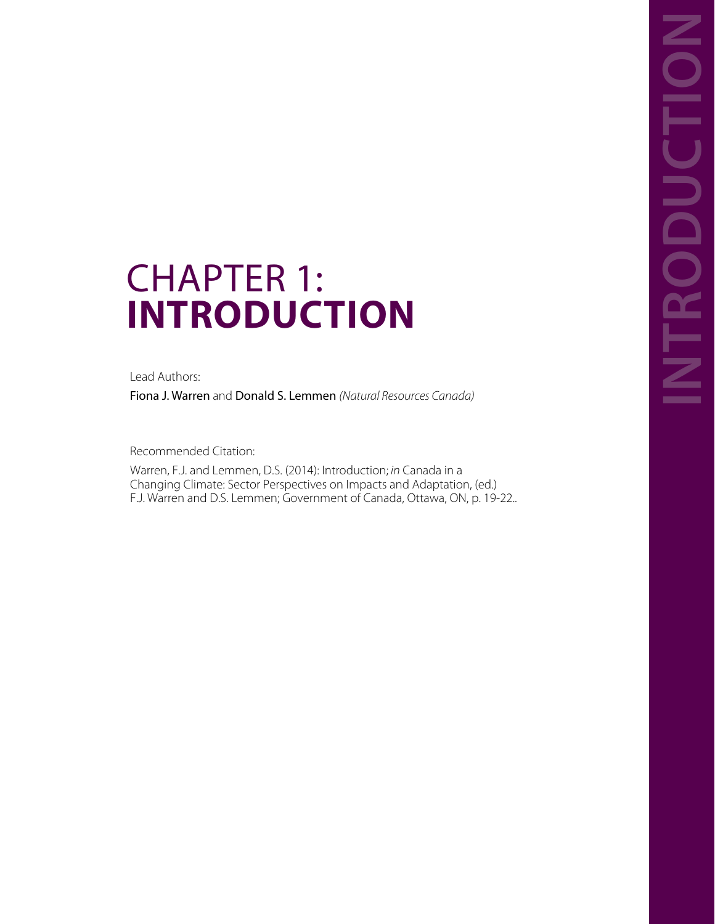# CHAPTER 1: **INTRODUCTION CHAPTER 1:**<br> **INTRODUCTION**<br>
Read Authors:<br>
Riona J. Warren and Donald S. Lemmen (Natural Resources Canada)<br>
Recommended Chatlen:<br>
Warren, F.J. Jand Lemmen, D.S. (2014): Introduction; in Canada, in a<br>
F.J. Warren and D.S.

Lead Authors:

Fiona J. Warren and Donald S. Lemmen *(Natural Resources Canada)*

Recommended Citation:

Warren, F.J. and Lemmen, D.S. (2014): Introduction; *in* Canada in a Changing Climate: Sector Perspectives on Impacts and Adaptation, (ed.)<br>F.J. Warren and D.S. Lemmen; Government of Canada, Ottawa, ON, p. 19-22..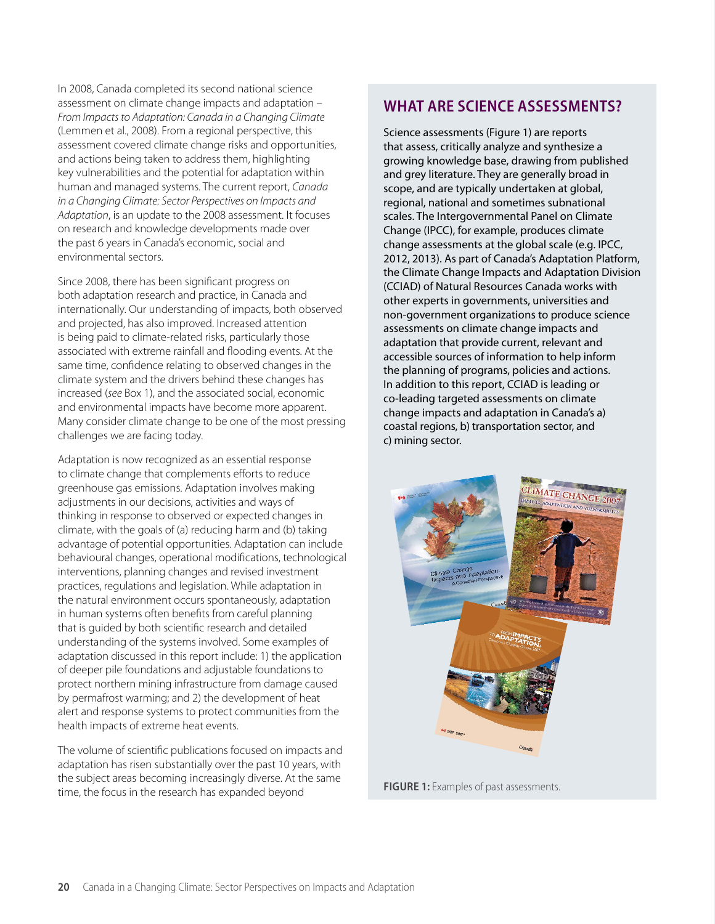In 2008, Canada completed its second national science assessment on climate change impacts and adaptation – *From Impacts to Adaptation: Canada in a Changing Climate* (Lemmen et al., 2008). From a regional perspective, this assessment covered climate change risks and opportunities, and actions being taken to address them, highlighting key vulnerabilities and the potential for adaptation within human and managed systems. The current report, *Canada in a Changing Climate: Sector Perspectives on Impacts and Adaptation*, is an update to the 2008 assessment. It focuses on research and knowledge developments made over the past 6 years in Canada's economic, social and environmental sectors.

Since 2008, there has been significant progress on both adaptation research and practice, in Canada and internationally. Our understanding of impacts, both observed and projected, has also improved. Increased attention is being paid to climate-related risks, particularly those associated with extreme rainfall and flooding events. At the same time, confidence relating to observed changes in the climate system and the drivers behind these changes has increased (*see* Box 1), and the associated social, economic and environmental impacts have become more apparent. Many consider climate change to be one of the most pressing challenges we are facing today.

Adaptation is now recognized as an essential response to climate change that complements efforts to reduce greenhouse gas emissions. Adaptation involves making adjustments in our decisions, activities and ways of thinking in response to observed or expected changes in climate, with the goals of (a) reducing harm and (b) taking advantage of potential opportunities. Adaptation can include behavioural changes, operational modifications, technological interventions, planning changes and revised investment practices, regulations and legislation. While adaptation in the natural environment occurs spontaneously, adaptation in human systems often benefits from careful planning that is guided by both scientific research and detailed understanding of the systems involved. Some examples of adaptation discussed in this report include: 1) the application of deeper pile foundations and adjustable foundations to protect northern mining infrastructure from damage caused by permafrost warming; and 2) the development of heat alert and response systems to protect communities from the health impacts of extreme heat events.

The volume of scientific publications focused on impacts and adaptation has risen substantially over the past 10 years, with the subject areas becoming increasingly diverse. At the same time, the focus in the research has expanded beyond

## **WHAT ARE SCIENCE ASSESSMENTS?**

Science assessments (Figure 1) are reports that assess, critically analyze and synthesize a growing knowledge base, drawing from published and grey literature. They are generally broad in scope, and are typically undertaken at global, regional, national and sometimes subnational scales. The Intergovernmental Panel on Climate Change (IPCC), for example, produces climate change assessments at the global scale (e.g. IPCC, 2012, 2013). As part of Canada's Adaptation Platform, the Climate Change Impacts and Adaptation Division (CCIAD) of Natural Resources Canada works with other experts in governments, universities and non-government organizations to produce science assessments on climate change impacts and adaptation that provide current, relevant and accessible sources of information to help inform the planning of programs, policies and actions. In addition to this report, CCIAD is leading or co-leading targeted assessments on climate change impacts and adaptation in Canada's a) coastal regions, b) transportation sector, and c) mining sector.



**FIGURE 1:** Examples of past assessments.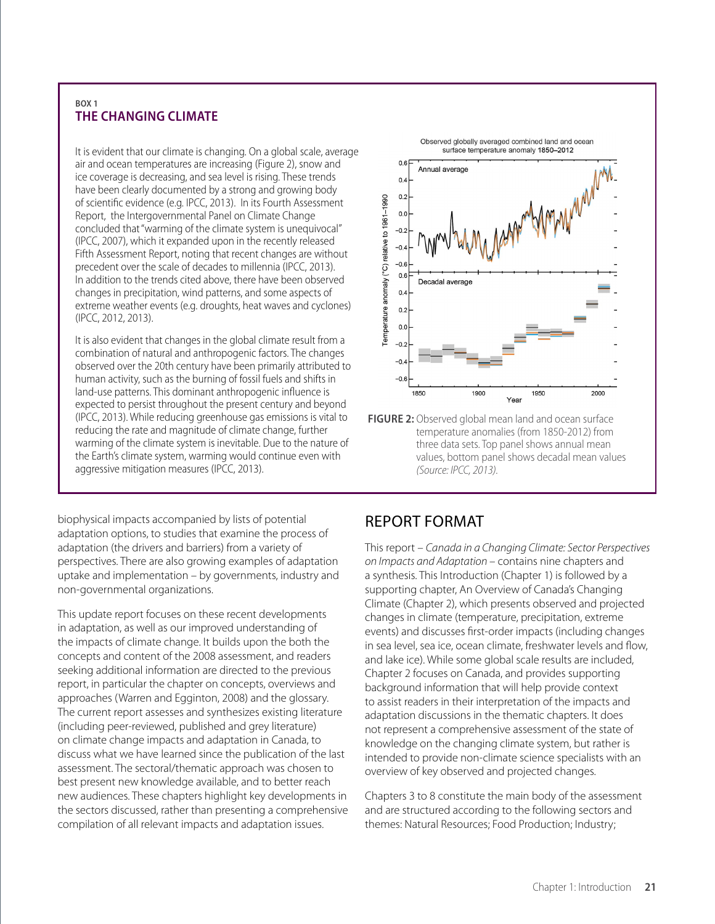### **BOX 1 THE CHANGING CLIMATE**

It is evident that our climate is changing. On a global scale, average air and ocean temperatures are increasing (Figure 2), snow and ice coverage is decreasing, and sea level is rising. These trends have been clearly documented by a strong and growing body of scientific evidence (e.g. IPCC, 2013). In its Fourth Assessment Report, the Intergovernmental Panel on Climate Change concluded that "warming of the climate system is unequivocal" (IPCC, 2007), which it expanded upon in the recently released Fifth Assessment Report, noting that recent changes are without precedent over the scale of decades to millennia (IPCC, 2013). In addition to the trends cited above, there have been observed changes in precipitation, wind patterns, and some aspects of extreme weather events (e.g. droughts, heat waves and cyclones) (IPCC, 2012, 2013).

It is also evident that changes in the global climate result from a combination of natural and anthropogenic factors. The changes observed over the 20th century have been primarily attributed to human activity, such as the burning of fossil fuels and shifts in land-use patterns. This dominant anthropogenic influence is expected to persist throughout the present century and beyond (IPCC, 2013). While reducing greenhouse gas emissions is vital to reducing the rate and magnitude of climate change, further warming of the climate system is inevitable. Due to the nature of the Earth's climate system, warming would continue even with aggressive mitigation measures (IPCC, 2013).



**FIGURE 2:** Observed global mean land and ocean surface temperature anomalies (from 1850-2012) from three data sets. Top panel shows annual mean values, bottom panel shows decadal mean values *(Source: IPCC, 2013).*

biophysical impacts accompanied by lists of potential adaptation options, to studies that examine the process of adaptation (the drivers and barriers) from a variety of perspectives. There are also growing examples of adaptation uptake and implementation – by governments, industry and non-governmental organizations.

This update report focuses on these recent developments in adaptation, as well as our improved understanding of the impacts of climate change. It builds upon the both the concepts and content of the 2008 assessment, and readers seeking additional information are directed to the previous report, in particular the chapter on concepts, overviews and approaches (Warren and Egginton, 2008) and the glossary. The current report assesses and synthesizes existing literature (including peer-reviewed, published and grey literature) on climate change impacts and adaptation in Canada, to discuss what we have learned since the publication of the last assessment. The sectoral/thematic approach was chosen to best present new knowledge available, and to better reach new audiences. These chapters highlight key developments in the sectors discussed, rather than presenting a comprehensive compilation of all relevant impacts and adaptation issues.

# REPORT FORMAT

This report – *Canada in a Changing Climate: Sector Perspectives on Impacts and Adaptation* – contains nine chapters and a synthesis. This Introduction (Chapter 1) is followed by a [supporting chapter, An Overview of Canada's Changing](#page--1-0) Climate (Chapter 2), which presents observed and projected changes in climate (temperature, precipitation, extreme events) and discusses first-order impacts (including changes in sea level, sea ice, ocean climate, freshwater levels and flow, and lake ice). While some global scale results are included, [Chapter 2](#page--1-0) focuses on Canada, and provides supporting background information that will help provide context to assist readers in their interpretation of the impacts and adaptation discussions in the thematic chapters. It does not represent a comprehensive assessment of the state of knowledge on the changing climate system, but rather is intended to provide non-climate science specialists with an overview of key observed and projected changes.

[Chapters 3](#page--1-0) to [8](#page--1-0) constitute the main body of the assessment and are structured according to the following sectors and themes: Natural Resources; Food Production; Industry;